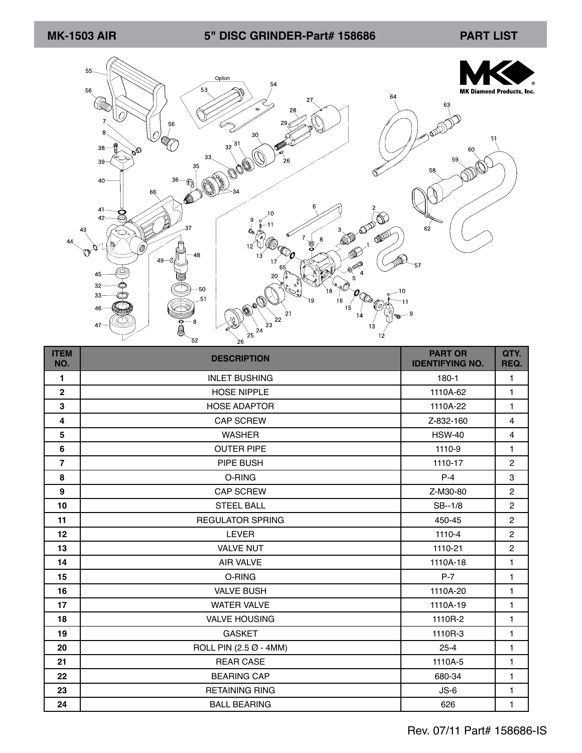## **MK-1503 AIR PART LIST 5" DISC GRINDER-Part# 158686**



| <b>ITEM</b><br>NO. | <b>DESCRIPTION</b>      | <b>PART OR</b><br><b>IDENTIFYING NO.</b> | QTY.<br>REQ.   |
|--------------------|-------------------------|------------------------------------------|----------------|
| $\mathbf{1}$       | <b>INLET BUSHING</b>    | 180-1                                    | 1              |
| $\mathbf{2}$       | <b>HOSE NIPPLE</b>      | 1110A-62                                 | $\mathbf{1}$   |
| 3                  | <b>HOSE ADAPTOR</b>     | 1110A-22                                 | $\mathbf{1}$   |
| 4                  | <b>CAP SCREW</b>        | Z-832-160                                | $\overline{4}$ |
| 5                  | <b>WASHER</b>           | <b>HSW-40</b>                            | $\overline{4}$ |
| $6\phantom{a}$     | <b>OUTER PIPE</b>       | 1110-9                                   | $\mathbf{1}$   |
| $\overline{7}$     | PIPE BUSH               | 1110-17                                  | $\overline{2}$ |
| 8                  | O-RING                  | $P-4$                                    | 3              |
| 9                  | <b>CAP SCREW</b>        | Z-M30-80                                 | $\overline{2}$ |
| 10                 | <b>STEEL BALL</b>       | SB--1/8                                  | $\overline{c}$ |
| 11                 | <b>REGULATOR SPRING</b> | 450-45                                   | $\overline{2}$ |
| 12                 | <b>LEVER</b>            | 1110-4                                   | $\overline{c}$ |
| 13                 | <b>VALVE NUT</b>        | 1110-21                                  | $\overline{c}$ |
| 14                 | <b>AIR VALVE</b>        | 1110A-18                                 | $\mathbf{1}$   |
| 15                 | O-RING                  | $P-7$                                    | $\mathbf{1}$   |
| 16                 | <b>VALVE BUSH</b>       | 1110A-20                                 | 1              |
| 17                 | <b>WATER VALVE</b>      | 1110A-19                                 | 1              |
| 18                 | <b>VALVE HOUSING</b>    | 1110R-2                                  | $\mathbf{1}$   |
| 19                 | <b>GASKET</b>           | 1110R-3                                  | $\mathbf{1}$   |
| 20                 | ROLL PIN (2.5 Ø - 4MM)  | $25 - 4$                                 | $\mathbf{1}$   |
| 21                 | <b>REAR CASE</b>        | 1110A-5                                  | 1              |
| 22                 | <b>BEARING CAP</b>      | 680-34                                   | $\mathbf{1}$   |
| 23                 | <b>RETAINING RING</b>   | $JS-6$                                   | 1              |
| 24                 | <b>BALL BEARING</b>     | 626                                      | 1              |